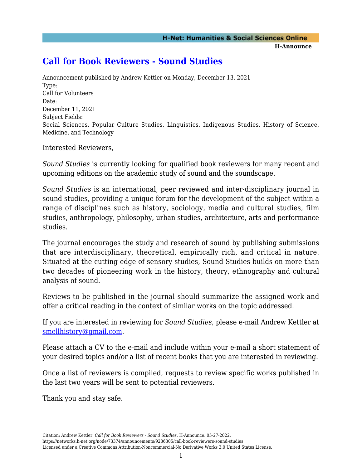## **[Call for Book Reviewers - Sound Studies](https://networks.h-net.org/node/73374/announcements/9286305/call-book-reviewers-sound-studies)**

Announcement published by Andrew Kettler on Monday, December 13, 2021 Type: Call for Volunteers Date: December 11, 2021 Subject Fields: Social Sciences, Popular Culture Studies, Linguistics, Indigenous Studies, History of Science, Medicine, and Technology

Interested Reviewers,

*Sound Studies* is currently looking for qualified book reviewers for many recent and upcoming editions on the academic study of sound and the soundscape.

*Sound Studies* is an international, peer reviewed and inter-disciplinary journal in sound studies, providing a unique forum for the development of the subject within a range of disciplines such as history, sociology, media and cultural studies, film studies, anthropology, philosophy, urban studies, architecture, arts and performance studies.

The journal encourages the study and research of sound by publishing submissions that are interdisciplinary, theoretical, empirically rich, and critical in nature. Situated at the cutting edge of sensory studies, Sound Studies builds on more than two decades of pioneering work in the history, theory, ethnography and cultural analysis of sound.

Reviews to be published in the journal should summarize the assigned work and offer a critical reading in the context of similar works on the topic addressed.

If you are interested in reviewing for *Sound Studies*, please e-mail Andrew Kettler at [smellhistory@gmail.com.](mailto:smellhistory@gmail.com)

Please attach a CV to the e-mail and include within your e-mail a short statement of your desired topics and/or a list of recent books that you are interested in reviewing.

Once a list of reviewers is compiled, requests to review specific works published in the last two years will be sent to potential reviewers.

Thank you and stay safe.